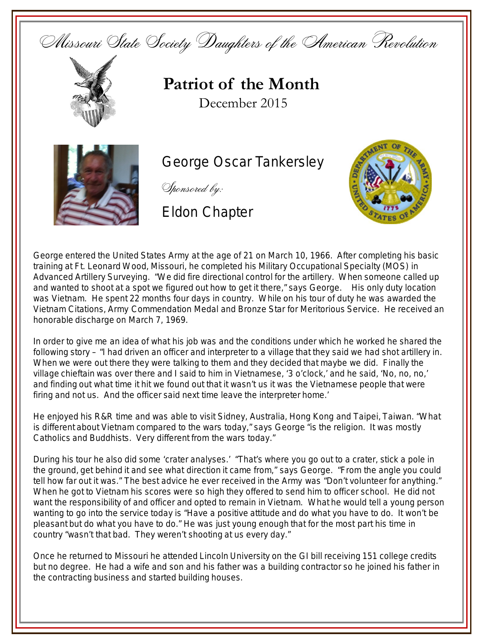Missouri State Society Daughters of the American Revolution



**Patriot of the Month** December 2015



George Oscar Tankersley

Sponsored by:

Eldon Chapter



George entered the United States Army at the age of 21 on March 10, 1966. After completing his basic training at Ft. Leonard Wood, Missouri, he completed his Military Occupational Specialty (MOS) in Advanced Artillery Surveying. "We did fire directional control for the artillery. When someone called up and wanted to shoot at a spot we figured out how to get it there," says George. His only duty location was Vietnam. He spent 22 months four days in country. While on his tour of duty he was awarded the Vietnam Citations, Army Commendation Medal and Bronze Star for Meritorious Service. He received an honorable discharge on March 7, 1969.

In order to give me an idea of what his job was and the conditions under which he worked he shared the following story – "I had driven an officer and interpreter to a village that they said we had shot artillery in. When we were out there they were talking to them and they decided that maybe we did. Finally the village chieftain was over there and I said to him in Vietnamese, '3 o'clock,' and he said, 'No, no, no,' and finding out what time it hit we found out that it wasn't us it was the Vietnamese people that were firing and not us. And the officer said next time leave the interpreter home.'

He enjoyed his R&R time and was able to visit Sidney, Australia, Hong Kong and Taipei, Taiwan. "What is different about Vietnam compared to the wars today," says George "is the religion. It was mostly Catholics and Buddhists. Very different from the wars today."

During his tour he also did some 'crater analyses.' "That's where you go out to a crater, stick a pole in the ground, get behind it and see what direction it came from," says George. "From the angle you could tell how far out it was." The best advice he ever received in the Army was "Don't volunteer for anything." When he got to Vietnam his scores were so high they offered to send him to officer school. He did not want the responsibility of and officer and opted to remain in Vietnam. What he would tell a young person wanting to go into the service today is "Have a positive attitude and do what you have to do. It won't be pleasant but do what you have to do." He was just young enough that for the most part his time in country "wasn't that bad. They weren't shooting at us every day."

Once he returned to Missouri he attended Lincoln University on the GI bill receiving 151 college credits but no degree. He had a wife and son and his father was a building contractor so he joined his father in the contracting business and started building houses.